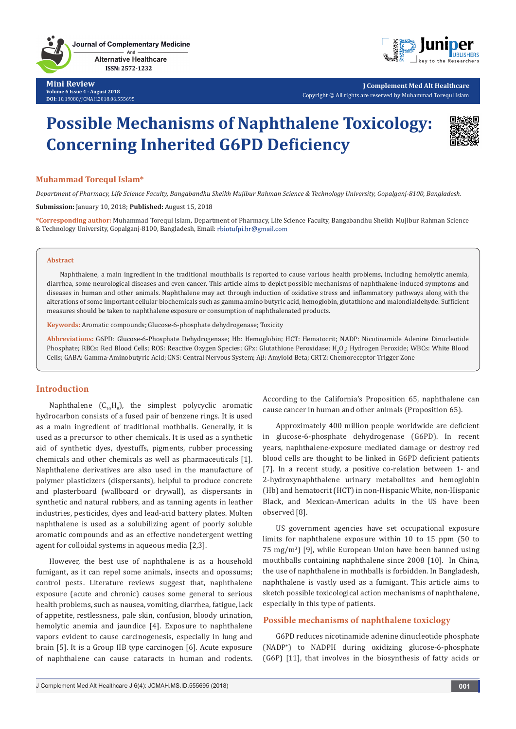**Journal of Complementary Medicine** And **Alternative Healthcare** ISSN: 2572-1232



**J Complement Med Alt Healthcare** Copyright © All rights are reserved by Muhammad Torequl Islam

# **Possible Mechanisms of Naphthalene Toxicology: Concerning Inherited G6PD Deficiency**



#### **Muhammad Torequl Islam\***

*Department of Pharmacy, Life Science Faculty, Bangabandhu Sheikh Mujibur Rahman Science & Technology University, Gopalganj-8100, Bangladesh.*

**Submission:** January 10, 2018; **Published:** August 15, 2018

**\*Corresponding author:** Muhammad Torequl Islam, Department of Pharmacy, Life Science Faculty, Bangabandhu Sheikh Mujibur Rahman Science & Technology University, Gopalganj-8100, Bangladesh, Email:

#### **Abstract**

Naphthalene, a main ingredient in the traditional mouthballs is reported to cause various health problems, including hemolytic anemia, diarrhea, some neurological diseases and even cancer. This article aims to depict possible mechanisms of naphthalene-induced symptoms and diseases in human and other animals. Naphthalene may act through induction of oxidative stress and inflammatory pathways along with the alterations of some important cellular biochemicals such as gamma amino butyric acid, hemoglobin, glutathione and malondialdehyde. Sufficient measures should be taken to naphthalene exposure or consumption of naphthalenated products.

**Keywords:** Aromatic compounds; Glucose-6-phosphate dehydrogenase; Toxicity

**Abbreviations:** G6PD: Glucose-6-Phosphate Dehydrogenase; Hb: Hemoglobin; HCT: Hematocrit; NADP: Nicotinamide Adenine Dinucleotide Phosphate; RBCs: Red Blood Cells; ROS: Reactive Oxygen Species; GPx: Glutathione Peroxidase; H<sub>2</sub>O<sub>2</sub>: Hydrogen Peroxide; WBCs: White Blood Cells; GABA: Gamma-Aminobutyric Acid; CNS: Central Nervous System; Aβ: Amyloid Beta; CRTZ: Chemoreceptor Trigger Zone

### **Introduction**

Naphthalene  $(C_{10}H_8)$ , the simplest polycyclic aromatic hydrocarbon consists of a fused pair of benzene rings. It is used as a main ingredient of traditional mothballs. Generally, it is used as a precursor to other chemicals. It is used as a synthetic aid of synthetic dyes, dyestuffs, pigments, rubber processing chemicals and other chemicals as well as pharmaceuticals [1]. Naphthalene derivatives are also used in the manufacture of polymer plasticizers (dispersants), helpful to produce concrete and plasterboard (wallboard or drywall), as dispersants in synthetic and natural rubbers, and as tanning agents in leather industries, pesticides, dyes and lead-acid battery plates. Molten naphthalene is used as a solubilizing agent of poorly soluble aromatic compounds and as an effective nondetergent wetting agent for colloidal systems in aqueous media [2,3].

However, the best use of naphthalene is as a household fumigant, as it can repel some animals, insects and opossums; control pests. Literature reviews suggest that, naphthalene exposure (acute and chronic) causes some general to serious health problems, such as nausea, vomiting, diarrhea, fatigue, lack of appetite, restlessness, pale skin, confusion, bloody urination, hemolytic anemia and jaundice [4]. Exposure to naphthalene vapors evident to cause carcinogenesis, especially in lung and brain [5]. It is a Group IIB type carcinogen [6]. Acute exposure of naphthalene can cause cataracts in human and rodents.

According to the California's Proposition 65, naphthalene can cause cancer in human and other animals (Proposition 65).

Approximately 400 million people worldwide are deficient in glucose-6-phosphate dehydrogenase (G6PD). In recent years, naphthalene-exposure mediated damage or destroy red blood cells are thought to be linked in G6PD deficient patients [7]. In a recent study, a positive co-relation between 1- and 2-hydroxynaphthalene urinary metabolites and hemoglobin (Hb) and hematocrit (HCT) in non-Hispanic White, non-Hispanic Black, and Mexican-American adults in the US have been observed [8].

US government agencies have set occupational exposure limits for naphthalene exposure within 10 to 15 ppm (50 to 75 mg/m<sup>3</sup> ) [9], while European Union have been banned using mouthballs containing naphthalene since 2008 [10]. In China, the use of naphthalene in mothballs is forbidden. In Bangladesh, naphthalene is vastly used as a fumigant. This article aims to sketch possible toxicological action mechanisms of naphthalene, especially in this type of patients.

#### **Possible mechanisms of naphthalene toxiclogy**

G6PD reduces nicotinamide adenine dinucleotide phosphate (NADP<sup>+</sup> ) to NADPH during oxidizing glucose-6-phosphate (G6P) [11], that involves in the biosynthesis of fatty acids or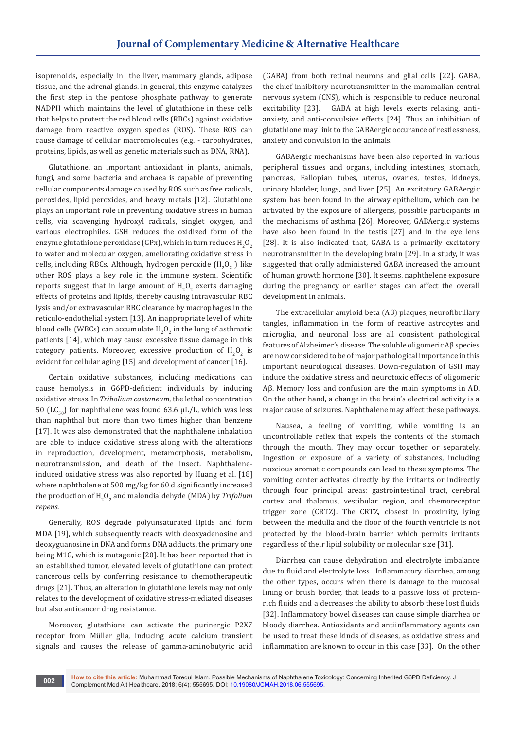isoprenoids, especially in the liver, mammary glands, adipose tissue, and the adrenal glands. In general, this enzyme catalyzes the first step in the pentose phosphate pathway to generate NADPH which maintains the level of glutathione in these cells that helps to protect the red blood cells (RBCs) against oxidative damage from reactive oxygen species (ROS). These ROS can cause damage of cellular macromolecules (e.g. - carbohydrates, proteins, lipids, as well as genetic materials such as DNA, RNA).

Glutathione, an important antioxidant in plants, animals, fungi, and some bacteria and archaea is capable of preventing cellular components damage caused by ROS such as free radicals, peroxides, lipid peroxides, and heavy metals [12]. Glutathione plays an important role in preventing oxidative stress in human cells, via scavenging hydroxyl radicals, singlet oxygen, and various electrophiles. GSH reduces the oxidized form of the enzyme glutathione peroxidase (GPx), which in turn reduces  $\mathsf{H}_{2}\mathsf{O}_{2}$ to water and molecular oxygen, ameliorating oxidative stress in cells, including RBCs. Although, hydrogen peroxide  $\rm (H_2O_2^-)$  like other ROS plays a key role in the immune system. Scientific reports suggest that in large amount of  $H_2O_2$  exerts damaging effects of proteins and lipids, thereby causing intravascular RBC lysis and/or extravascular RBC clearance by macrophages in the reticulo-endothelial system [13]. An inappropriate level of white blood cells (WBCs) can accumulate  $\mathrm{H}_{2}\mathrm{O}_{2}$  in the lung of asthmatic patients [14], which may cause excessive tissue damage in this category patients. Moreover, excessive production of  $\mathrm{H_2O}_2$  is evident for cellular aging [15] and development of cancer [16].

Certain oxidative substances, including medications can cause hemolysis in G6PD-deficient individuals by inducing oxidative stress. In *Tribolium castaneum*, the lethal concentration 50 (LC<sub>50</sub>) for naphthalene was found 63.6 μL/L, which was less than naphthal but more than two times higher than benzene [17]. It was also demonstrated that the naphthalene inhalation are able to induce oxidative stress along with the alterations in reproduction, development, metamorphosis, metabolism, neurotransmission, and death of the insect. Naphthaleneinduced oxidative stress was also reported by Huang et al. [18] where naphthalene at 500 mg/kg for 60 d significantly increased the production of  $\mathrm{H}_{\scriptscriptstyle{2}}\mathrm{O}_{\scriptscriptstyle{2}}$  and malondialdehyde (MDA) by *Trifolium repens*.

Generally, ROS degrade polyunsaturated lipids and form MDA [19], which subsequently reacts with deoxyadenosine and deoxyguanosine in DNA and forms DNA adducts, the primary one being M1G, which is mutagenic [20]. It has been reported that in an established tumor, elevated levels of glutathione can protect cancerous cells by conferring resistance to chemotherapeutic drugs [21]. Thus, an alteration in glutathione levels may not only relates to the development of oxidative stress-mediated diseases but also anticancer drug resistance.

Moreover, glutathione can activate the purinergic P2X7 receptor from Müller glia, inducing acute calcium transient signals and causes the release of gamma-aminobutyric acid

(GABA) from both retinal neurons and glial cells [22]. GABA, the chief inhibitory neurotransmitter in the mammalian central nervous system (CNS), which is responsible to reduce neuronal excitability [23]. GABA at high levels exerts relaxing, antianxiety, and anti-convulsive effects [24]. Thus an inhibition of glutathione may link to the GABAergic occurance of restlessness, anxiety and convulsion in the animals.

GABAergic mechanisms have been also reported in various peripheral tissues and organs, including intestines, stomach, pancreas, Fallopian tubes, uterus, ovaries, testes, kidneys, urinary bladder, lungs, and liver [25]. An excitatory GABAergic system has been found in the airway epithelium, which can be activated by the exposure of allergens, possible participants in the mechanisms of asthma [26]. Moreover, GABAergic systems have also been found in the testis [27] and in the eye lens [28]. It is also indicated that, GABA is a primarily excitatory neurotransmitter in the developing brain [29]. In a study, it was suggested that orally administered GABA increased the amount of human growth hormone [30]. It seems, naphthelene exposure during the pregnancy or earlier stages can affect the overall development in animals.

The extracellular amyloid beta (Aβ) plaques, neurofibrillary tangles, inflammation in the form of reactive astrocytes and microglia, and neuronal loss are all consistent pathological features of Alzheimer's disease. The soluble oligomeric Aβ species are now considered to be of major pathological importance in this important neurological diseases. Down-regulation of GSH may induce the oxidative stress and neurotoxic effects of oligomeric Aβ. Memory loss and confusion are the main symptoms in AD. On the other hand, a change in the brain's electrical activity is a major cause of seizures. Naphthalene may affect these pathways.

Nausea, a feeling of vomiting, while vomiting is an uncontrollable reflex that expels the contents of the stomach through the mouth. They may occur together or separately. Ingestion or exposure of a variety of substances, including noxcious aromatic compounds can lead to these symptoms. The vomiting center activates directly by the irritants or indirectly through four principal areas: gastrointestinal tract, cerebral cortex and thalamus, vestibular region, and chemoreceptor trigger zone (CRTZ). The CRTZ, closest in proximity, lying between the medulla and the floor of the fourth ventricle is not protected by the blood-brain barrier which permits irritants regardless of their lipid solubility or molecular size [31].

Diarrhea can cause dehydration and electrolyte imbalance due to fluid and electrolyte loss. Inflammatory diarrhea, among the other types, occurs when there is damage to the mucosal lining or brush border, that leads to a passive loss of proteinrich fluids and a decreases the ability to absorb these lost fluids [32]. Inflammatory bowel diseases can cause simple diarrhea or bloody diarrhea. Antioxidants and antiinflammatory agents can be used to treat these kinds of diseases, as oxidative stress and inflammation are known to occur in this case [33]. On the other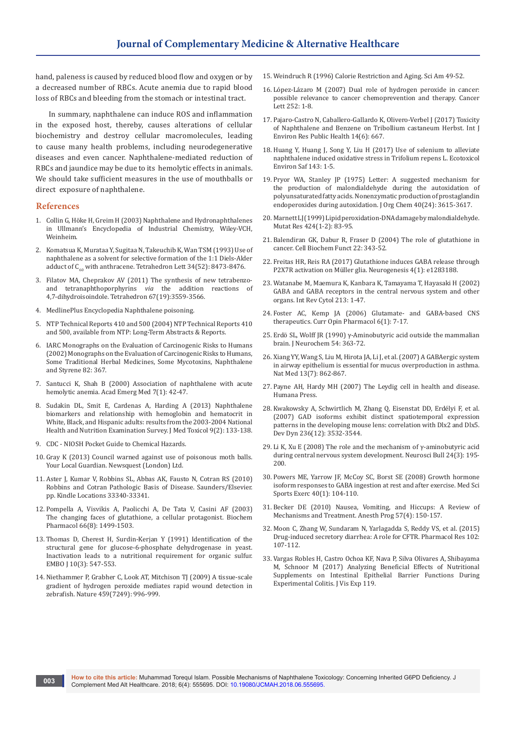hand, paleness is caused by reduced blood flow and oxygen or by a decreased number of RBCs. Acute anemia due to rapid blood loss of RBCs and bleeding from the stomach or intestinal tract.

In summary, naphthalene can induce ROS and inflammation in the exposed host, thereby, causes alterations of cellular biochemistry and destroy cellular macromolecules, leading to cause many health problems, including neurodegenerative diseases and even cancer. Naphthalene-mediated reduction of RBCs and jaundice may be due to its hemolytic effects in animals. We should take sufficient measures in the use of mouthballs or direct exposure of naphthalene.

#### **References**

- 1. [Collin G, Höke H, Greim H \(2003\) Naphthalene and Hydronaphthalenes](https://onlinelibrary.wiley.com/doi/10.1002/14356007.a17_001.pub2/otherversions)  [in Ullmann's Encyclopedia of Industrial Chemistry, Wiley-VCH,](https://onlinelibrary.wiley.com/doi/10.1002/14356007.a17_001.pub2/otherversions)  [Weinheim.](https://onlinelibrary.wiley.com/doi/10.1002/14356007.a17_001.pub2/otherversions)
- 2. [Komatsua K, Murataa Y, Sugitaa N, Takeuchib K, Wan TSM \(1993\) Use of](https://www.sciencedirect.com/science/article/pii/S004040390061362X)  [naphthalene as a solvent for selective formation of the 1:1 Diels-Alder](https://www.sciencedirect.com/science/article/pii/S004040390061362X)  adduct of  $C_{60}$  with anthracene. Tetrahedron Lett 34(52): 8473-8476.
- 3. [Filatov MA, Cheprakov AV \(2011\) The synthesis of new tetrabenzo](file:///E:\Journal%20data\JCMAH\Articles\2018\1.January\1.%20JCMAH-MRW-18-710\JCMAH-MRW-18-710_W\v)and tetranaphthoporphyrins *via* [the addition reactions of](file:///E:\Journal%20data\JCMAH\Articles\2018\1.January\1.%20JCMAH-MRW-18-710\JCMAH-MRW-18-710_W\v)  [4,7-dihydroisoindole. Tetrahedron 67\(19\):3559-3566.](file:///E:\Journal%20data\JCMAH\Articles\2018\1.January\1.%20JCMAH-MRW-18-710\JCMAH-MRW-18-710_W\v)
- 4. [MedlinePlus Encyclopedia Naphthalene poisoning.](https://medlineplus.gov/ency/article/002477.htm)
- 5. [NTP Technical Reports 410 and 500 \(2004\) NTP Technical Reports 410](https://ntp.niehs.nih.gov/results/summaries/chronicstudies/index.html)  [and 500, available from NTP: Long-Term Abstracts & Reports.](https://ntp.niehs.nih.gov/results/summaries/chronicstudies/index.html)
- 6. IARC Monographs on the Evaluation of Carcinogenic Risks to Humans (2002) Monographs on the Evaluation of Carcinogenic Risks to Humans, Some Traditional Herbal Medicines, Some Mycotoxins, Naphthalene and Styrene 82: 367.
- 7. [Santucci K, Shah B \(2000\) Association of naphthalene with acute](file:///E:\Journal%20data\JCMAH\Articles\2018\1.January\1.%20JCMAH-MRW-18-710\JCMAH-MRW-18-710_W\v)  [hemolytic anemia. Acad Emerg Med 7\(1\): 42-47.](file:///E:\Journal%20data\JCMAH\Articles\2018\1.January\1.%20JCMAH-MRW-18-710\JCMAH-MRW-18-710_W\v)
- 8. [Sudakin DL, Smit E, Cardenas A, Harding A \(2013\) Naphthalene](https://www.ncbi.nlm.nih.gov/pubmed/23007805)  [biomarkers and relationship with hemoglobin and hematocrit in](https://www.ncbi.nlm.nih.gov/pubmed/23007805)  [White, Black, and Hispanic adults: results from the 2003-2004 National](https://www.ncbi.nlm.nih.gov/pubmed/23007805)  [Health and Nutrition Examination Survey. J Med Toxicol 9\(2\): 133-138.](https://www.ncbi.nlm.nih.gov/pubmed/23007805)
- 9. [CDC NIOSH Pocket Guide to Chemical Hazards.](https://www.cdc.gov/niosh/npg/default.html)
- 10. [Gray K \(2013\) Council warned against use of poisonous moth balls.](http://www.yourlocalguardian.co.uk/news/10813745.Council_warns_against_use_of_poisonous_mothballs/)  [Your Local Guardian. Newsquest \(London\) Ltd.](http://www.yourlocalguardian.co.uk/news/10813745.Council_warns_against_use_of_poisonous_mothballs/)
- 11. Aster J, Kumar V, Robbins SL, Abbas AK, Fausto N, Cotran RS (2010) Robbins and Cotran Pathologic Basis of Disease. Saunders/Elsevier. pp. Kindle Locations 33340-33341.
- 12. [Pompella A, Visvikis A, Paolicchi A, De Tata V, Casini AF \(2003\)](https://www.ncbi.nlm.nih.gov/pubmed/14555227)  [The changing faces of glutathione, a cellular protagonist. Biochem](https://www.ncbi.nlm.nih.gov/pubmed/14555227)  [Pharmacol 66\(8\): 1499-1503.](https://www.ncbi.nlm.nih.gov/pubmed/14555227)
- 13. [Thomas D, Cherest H, Surdin-Kerjan Y \(1991\) Identification of the](https://www.ncbi.nlm.nih.gov/pubmed/2001672)  [structural gene for glucose-6-phosphate dehydrogenase in yeast.](https://www.ncbi.nlm.nih.gov/pubmed/2001672)  [Inactivation leads to a nutritional requirement for organic sulfur.](https://www.ncbi.nlm.nih.gov/pubmed/2001672)  [EMBO J 10\(3\): 547-553.](https://www.ncbi.nlm.nih.gov/pubmed/2001672)
- 14. [Niethammer P, Grabher C, Look AT, Mitchison TJ \(2009\) A tissue-scale](https://www.ncbi.nlm.nih.gov/pubmed/19494811)  [gradient of hydrogen peroxide mediates rapid wound detection in](https://www.ncbi.nlm.nih.gov/pubmed/19494811)  [zebrafish. Nature 459\(7249\): 996-999.](https://www.ncbi.nlm.nih.gov/pubmed/19494811)
- 15. Weindruch R (1996) Calorie Restriction and Aging. Sci Am 49-52.
- 16. [López-Lázaro M \(2007\) Dual role of hydrogen peroxide in cancer:](https://www.ncbi.nlm.nih.gov/pubmed/17150302)  [possible relevance to cancer chemoprevention and therapy. Cancer](https://www.ncbi.nlm.nih.gov/pubmed/17150302)  [Lett 252: 1-8.](https://www.ncbi.nlm.nih.gov/pubmed/17150302)
- 17. [Pajaro-Castro N, Caballero-Gallardo K, Olivero-Verbel J \(2017\) Toxicity](https://www.ncbi.nlm.nih.gov/pmc/articles/PMC5486353/)  [of Naphthalene and Benzene on Tribollium castaneum Herbst. Int J](https://www.ncbi.nlm.nih.gov/pmc/articles/PMC5486353/)  [Environ Res Public Health 14\(6\): 667.](https://www.ncbi.nlm.nih.gov/pmc/articles/PMC5486353/)
- 18. [Huang Y, Huang J, Song Y, Liu H \(2017\) Use of selenium to alleviate](https://www.ncbi.nlm.nih.gov/pubmed/28482175)  [naphthalene induced oxidative stress in Trifolium repens L. Ecotoxicol](https://www.ncbi.nlm.nih.gov/pubmed/28482175)  [Environ Saf 143: 1-5.](https://www.ncbi.nlm.nih.gov/pubmed/28482175)
- 19. [Pryor WA, Stanley JP \(1975\) Letter: A suggested mechanism for](https://www.ncbi.nlm.nih.gov/pubmed/1185332)  [the production of malondialdehyde during the autoxidation of](https://www.ncbi.nlm.nih.gov/pubmed/1185332)  [polyunsaturated fatty acids. Nonenzymatic production of prostaglandin](https://www.ncbi.nlm.nih.gov/pubmed/1185332)  [endoperoxides during autoxidation. J Org Chem 40\(24\): 3615-3617.](https://www.ncbi.nlm.nih.gov/pubmed/1185332)
- 20. [Marnett LJ \(1999\) Lipid peroxidation-DNA damage by malondialdehyde.](https://www.ncbi.nlm.nih.gov/pubmed/10064852)  [Mutat Res 424\(1-2\): 83-95.](https://www.ncbi.nlm.nih.gov/pubmed/10064852)
- 21. [Balendiran GK, Dabur R, Fraser D \(2004\) The role of glutathione in](https://www.ncbi.nlm.nih.gov/pubmed/15386533)  [cancer. Cell Biochem Funct 22: 343-52.](https://www.ncbi.nlm.nih.gov/pubmed/15386533)
- 22. [Freitas HR, Reis RA \(2017\) Glutathione induces GABA release through](https://www.ncbi.nlm.nih.gov/pubmed/28229088)  [P2X7R activation on Müller glia. Neurogenesis 4\(1\): e1283188.](https://www.ncbi.nlm.nih.gov/pubmed/28229088)
- 23. [Watanabe M, Maemura K, Kanbara K, Tamayama T, Hayasaki H \(2002\)](https://www.ncbi.nlm.nih.gov/pubmed/11837891)  [GABA and GABA receptors in the central nervous system and other](https://www.ncbi.nlm.nih.gov/pubmed/11837891)  [organs. Int Rev Cytol 213: 1-47.](https://www.ncbi.nlm.nih.gov/pubmed/11837891)
- 24. [Foster AC, Kemp JA \(2006\) Glutamate- and GABA-based CNS](https://www.ncbi.nlm.nih.gov/pubmed/16377242)  [therapeutics. Curr Opin Pharmacol 6\(1\): 7-17.](https://www.ncbi.nlm.nih.gov/pubmed/16377242)
- 25. [Erdö SL, Wolff JR \(1990\) γ-Aminobutyric acid outside the mammalian](https://www.ncbi.nlm.nih.gov/pubmed/2405103)  [brain. J Neurochem 54: 363-72.](https://www.ncbi.nlm.nih.gov/pubmed/2405103)
- 26. [Xiang YY, Wang S, Liu M, Hirota JA, Li J, et al. \(2007\) A GABAergic system](https://www.ncbi.nlm.nih.gov/pubmed/17589520)  [in airway epithelium is essential for mucus overproduction in asthma.](https://www.ncbi.nlm.nih.gov/pubmed/17589520)  [Nat Med 13\(7\): 862-867.](https://www.ncbi.nlm.nih.gov/pubmed/17589520)
- 27. [Payne AH, Hardy MH \(2007\) The Leydig cell in health and disease.](https://www.springer.com/us/book/9781588297549)  [Humana Press.](https://www.springer.com/us/book/9781588297549)
- 28. [Kwakowsky A, Schwirtlich M, Zhang Q, Eisenstat DD, Erdélyi F, et al.](https://www.ncbi.nlm.nih.gov/pubmed/17969168)  [\(2007\) GAD isoforms exhibit distinct spatiotemporal expression](https://www.ncbi.nlm.nih.gov/pubmed/17969168)  [patterns in the developing mouse lens: correlation with Dlx2 and Dlx5.](https://www.ncbi.nlm.nih.gov/pubmed/17969168)  [Dev Dyn 236\(12\): 3532-3544.](https://www.ncbi.nlm.nih.gov/pubmed/17969168)
- 29. Li K, Xu E (2008) The role and the mechanism of  $\gamma$ -aminobutyric acid [during central nervous system development. Neurosci Bull 24\(3\): 195-](https://www.ncbi.nlm.nih.gov/pubmed/18500393) [200.](https://www.ncbi.nlm.nih.gov/pubmed/18500393)
- 30. [Powers ME, Yarrow JF, McCoy SC, Borst SE \(2008\) Growth hormone](https://www.ncbi.nlm.nih.gov/pubmed/18091016)  [isoform responses to GABA ingestion at rest and after exercise. Med Sci](https://www.ncbi.nlm.nih.gov/pubmed/18091016)  [Sports Exerc 40\(1\): 104-110.](https://www.ncbi.nlm.nih.gov/pubmed/18091016)
- 31. [Becker DE \(2010\) Nausea, Vomiting, and Hiccups: A Review of](https://www.ncbi.nlm.nih.gov/pmc/articles/PMC3006663/)  [Mechanisms and Treatment. Anesth Prog 57\(4\): 150-157.](https://www.ncbi.nlm.nih.gov/pmc/articles/PMC3006663/)
- 32. [Moon C, Zhang W, Sundaram N, Yarlagadda S, Reddy VS, et al. \(2015\)](file:///E:\Journal%20data\JCMAH\Articles\2018\1.January\1.%20JCMAH-MRW-18-710\JCMAH-MRW-18-710_W\v)  [Drug-induced secretory diarrhea: A role for CFTR. Pharmacol Res 102:](file:///E:\Journal%20data\JCMAH\Articles\2018\1.January\1.%20JCMAH-MRW-18-710\JCMAH-MRW-18-710_W\v)  [107-112.](file:///E:\Journal%20data\JCMAH\Articles\2018\1.January\1.%20JCMAH-MRW-18-710\JCMAH-MRW-18-710_W\v)
- 33. [Vargas Robles H, Castro Ochoa KF, Nava P, Silva Olivares A, Shibayama](https://www.ncbi.nlm.nih.gov/pubmed/28117803)  [M, Schnoor M \(2017\) Analyzing Beneficial Effects of Nutritional](https://www.ncbi.nlm.nih.gov/pubmed/28117803)  [Supplements on Intestinal Epithelial Barrier Functions During](https://www.ncbi.nlm.nih.gov/pubmed/28117803)  [Experimental Colitis. J Vis Exp 119.](https://www.ncbi.nlm.nih.gov/pubmed/28117803)